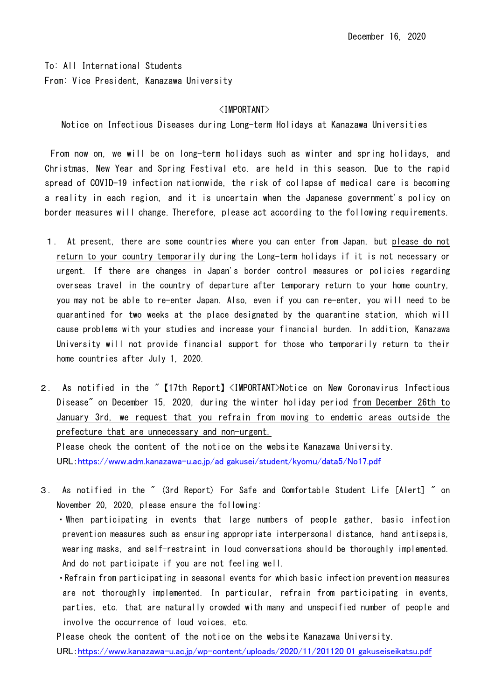To: All International Students From: Vice President, Kanazawa University

## <IMPORTANT>

Notice on Infectious Diseases during Long-term Holidays at Kanazawa Universities

From now on, we will be on long-term holidays such as winter and spring holidays, and Christmas, New Year and Spring Festival etc. are held in this season. Due to the rapid spread of COVID-19 infection nationwide, the risk of collapse of medical care is becoming a reality in each region, and it is uncertain when the Japanese government's policy on border measures will change. Therefore, please act according to the following requirements.

- 1. At present, there are some countries where you can enter from Japan, but please do not return to your country temporarily during the Long-term holidays if it is not necessary or urgent. If there are changes in Japan's border control measures or policies regarding overseas travel in the country of departure after temporary return to your home country, you may not be able to re-enter Japan. Also, even if you can re-enter, you will need to be quarantined for two weeks at the place designated by the quarantine station, which will cause problems with your studies and increase your financial burden. In addition, Kanazawa University will not provide financial support for those who temporarily return to their home countries after July 1, 2020.
- 2. As notified in the "【17th Report】<IMPORTANT>Notice on New Coronavirus Infectious Disease" on December 15, 2020, during the winter holiday period from December 26th to January 3rd, we request that you refrain from moving to endemic areas outside the prefecture that are unnecessary and non-urgent. Please check the content of the notice on the website Kanazawa University.

URL:[https://www.adm.kanazawa-u.ac.jp/ad\\_gakusei/student/kyomu/data5/No17.pdf](https://www.adm.kanazawa-u.ac.jp/ad_gakusei/student/kyomu/data5/No17.pdf)

3. As notified in the " (3rd Report) For Safe and Comfortable Student Life [Alert] " on November 20, 2020, please ensure the following:

・When participating in events that large numbers of people gather, basic infection prevention measures such as ensuring appropriate interpersonal distance, hand antisepsis, wearing masks, and self-restraint in loud conversations should be thoroughly implemented. And do not participate if you are not feeling well.

・Refrain from participating in seasonal events for which basic infection prevention measures are not thoroughly implemented. In particular, refrain from participating in events, parties, etc. that are naturally crowded with many and unspecified number of people and involve the occurrence of loud voices, etc.

Please check the content of the notice on the website Kanazawa University. URL:[https://www.kanazawa-u.ac.jp/wp-content/uploads/2020/11/201120\\_01\\_gakuseiseikatsu.pdf](https://www.kanazawa-u.ac.jp/wp-content/uploads/2020/11/201120_01_gakuseiseikatsu.pdf)